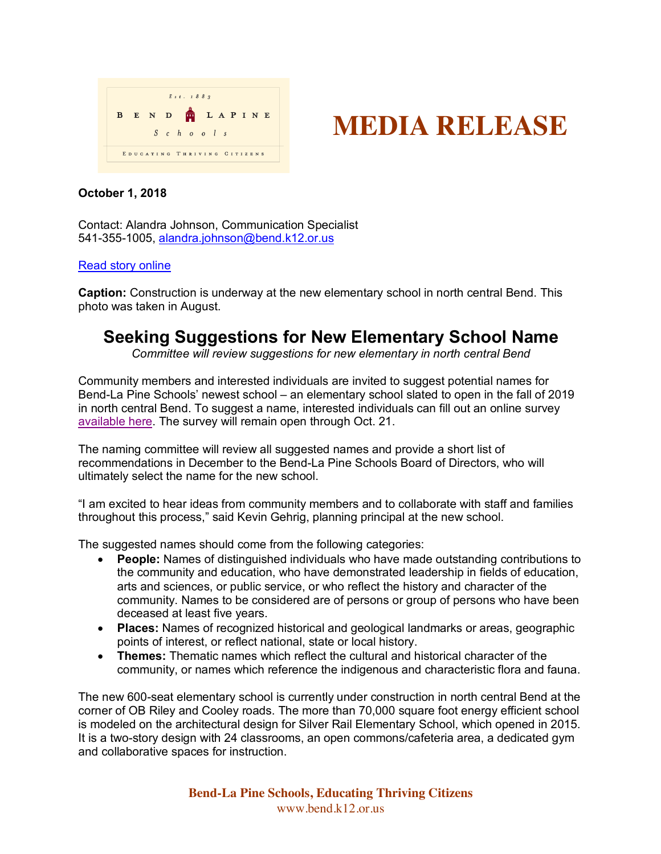



## **October 1, 2018**

Contact: Alandra Johnson, Communication Specialist 541-355-1005, alandra.johnson@bend.k12.or.us

## Read story online

**Caption:** Construction is underway at the new elementary school in north central Bend. This photo was taken in August.

## **Seeking Suggestions for New Elementary School Name**

*Committee will review suggestions for new elementary in north central Bend*

Community members and interested individuals are invited to suggest potential names for Bend-La Pine Schools' newest school – an elementary school slated to open in the fall of 2019 in north central Bend. To suggest a name, interested individuals can fill out an online survey available here. The survey will remain open through Oct. 21.

The naming committee will review all suggested names and provide a short list of recommendations in December to the Bend-La Pine Schools Board of Directors, who will ultimately select the name for the new school.

"I am excited to hear ideas from community members and to collaborate with staff and families throughout this process," said Kevin Gehrig, planning principal at the new school.

The suggested names should come from the following categories:

- **People:** Names of distinguished individuals who have made outstanding contributions to the community and education, who have demonstrated leadership in fields of education, arts and sciences, or public service, or who reflect the history and character of the community. Names to be considered are of persons or group of persons who have been deceased at least five years.
- **Places:** Names of recognized historical and geological landmarks or areas, geographic points of interest, or reflect national, state or local history.
- **Themes:** Thematic names which reflect the cultural and historical character of the community, or names which reference the indigenous and characteristic flora and fauna.

The new 600-seat elementary school is currently under construction in north central Bend at the corner of OB Riley and Cooley roads. The more than 70,000 square foot energy efficient school is modeled on the architectural design for Silver Rail Elementary School, which opened in 2015. It is a two-story design with 24 classrooms, an open commons/cafeteria area, a dedicated gym and collaborative spaces for instruction.